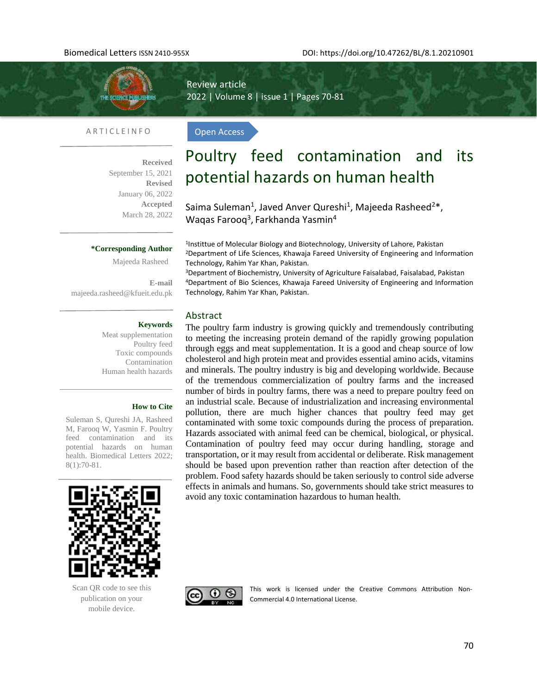

### A R T I C L E I N F O

**Received**  September 15, 2021 **Revised** January 06, 2022 **Accepted** March 28, 2022

#### **\*Corresponding Author**

Majeeda Rasheed

**E-mail**  [majeeda.rasheed@kfueit.edu.pk](mailto:majeeda.rasheed@kfueit.edu.pk)

#### **Keywords**

Meat supplementation Poultry feed Toxic compounds Contamination Human health hazards

#### **How to Cite**

Suleman S, Qureshi JA, Rasheed M, Farooq W, Yasmin F. Poultry feed contamination and its potential hazards on human health. Biomedical Letters 2022; 8(1):70-81.



Scan QR code to see this publication on your mobile device.

# Poultry feed contamination and its potential hazards on human health

Saima Suleman<sup>1</sup>, Javed Anver Qureshi<sup>1</sup>, Majeeda Rasheed<sup>2\*</sup>, Waqas Farooq<sup>3</sup>, Farkhanda Yasmin<sup>4</sup>

1 Instittue of Molecular Biology and Biotechnology, University of Lahore, Pakistan <sup>2</sup>Department of Life Sciences, Khawaja Fareed University of Engineering and Information Technology, Rahim Yar Khan, Pakistan.

<sup>3</sup>Department of Biochemistry, University of Agriculture Faisalabad, Faisalabad, Pakistan <sup>4</sup>Department of Bio Sciences, Khawaja Fareed University of Engineering and Information Technology, Rahim Yar Khan, Pakistan.

### Abstract

Open Access

Review article

2022 | Volume 8 | issue 1 | Pages 70-81

The poultry farm industry is growing quickly and tremendously contributing to meeting the increasing protein demand of the rapidly growing population through eggs and meat supplementation. It is a good and cheap source of low cholesterol and high protein meat and provides essential amino acids, vitamins and minerals. The poultry industry is big and developing worldwide. Because of the tremendous commercialization of poultry farms and the increased number of birds in poultry farms, there was a need to prepare poultry feed on an industrial scale. Because of industrialization and increasing environmental pollution, there are much higher chances that poultry feed may get contaminated with some toxic compounds during the process of preparation. Hazards associated with animal feed can be chemical, biological, or physical. Contamination of poultry feed may occur during handling, storage and transportation, or it may result from accidental or deliberate. Risk management should be based upon prevention rather than reaction after detection of the problem. Food safety hazards should be taken seriously to control side adverse effects in animals and humans. So, governments should take strict measures to avoid any toxic contamination hazardous to human health.



This work is licensed under the Creative Commons Attribution Non-Commercial 4.0 International License.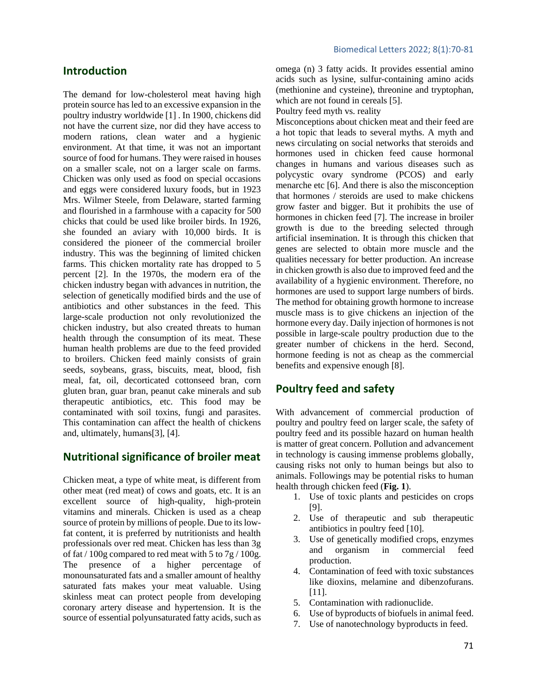### **Introduction**

The demand for low-cholesterol meat having high protein source has led to an excessive expansion in the poultry industry worldwide [\[1\]](#page-8-0) . In 1900, chickens did not have the current size, nor did they have access to modern rations, clean water and a hygienic environment. At that time, it was not an important source of food for humans. They were raised in houses on a smaller scale, not on a larger scale on farms. Chicken was only used as food on special occasions and eggs were considered luxury foods, but in 1923 Mrs. Wilmer Steele, from Delaware, started farming and flourished in a farmhouse with a capacity for 500 chicks that could be used like broiler birds. In 1926, she founded an aviary with 10,000 birds. It is considered the pioneer of the commercial broiler industry. This was the beginning of limited chicken farms. This chicken mortality rate has dropped to 5 percent [\[2\]](#page-8-1). In the 1970s, the modern era of the chicken industry began with advances in nutrition, the selection of genetically modified birds and the use of antibiotics and other substances in the feed. This large-scale production not only revolutionized the chicken industry, but also created threats to human health through the consumption of its meat. These human health problems are due to the feed provided to broilers. Chicken feed mainly consists of grain seeds, soybeans, grass, biscuits, meat, blood, fish meal, fat, oil, decorticated cottonseed bran, corn gluten bran, guar bran, peanut cake minerals and sub therapeutic antibiotics, etc. This food may be contaminated with soil toxins, fungi and parasites. This contamination can affect the health of chickens and, ultimately, humans[\[3\]](#page-8-2), [\[4\]](#page-8-3).

### **Nutritional significance of broiler meat**

Chicken meat, a type of white meat, is different from other meat (red meat) of cows and goats, etc. It is an excellent source of high-quality, high-protein vitamins and minerals. Chicken is used as a cheap source of protein by millions of people. Due to its lowfat content, it is preferred by nutritionists and health professionals over red meat. Chicken has less than 3g of fat / 100g compared to red meat with 5 to 7g / 100g. The presence of a higher percentage of monounsaturated fats and a smaller amount of healthy saturated fats makes your meat valuable. Using skinless meat can protect people from developing coronary artery disease and hypertension. It is the source of essential polyunsaturated fatty acids, such as

omega (n) 3 fatty acids. It provides essential amino acids such as lysine, sulfur-containing amino acids (methionine and cysteine), threonine and tryptophan, which are not found in cereals [\[5\]](#page-8-4).

Poultry feed myth vs. reality

Misconceptions about chicken meat and their feed are a hot topic that leads to several myths. A myth and news circulating on social networks that steroids and hormones used in chicken feed cause hormonal changes in humans and various diseases such as polycystic ovary syndrome (PCOS) and early menarche etc [\[6\]](#page-8-5). And there is also the misconception that hormones / steroids are used to make chickens grow faster and bigger. But it prohibits the use of hormones in chicken feed [\[7\]](#page-8-6). The increase in broiler growth is due to the breeding selected through artificial insemination. It is through this chicken that genes are selected to obtain more muscle and the qualities necessary for better production. An increase in chicken growth is also due to improved feed and the availability of a hygienic environment. Therefore, no hormones are used to support large numbers of birds. The method for obtaining growth hormone to increase muscle mass is to give chickens an injection of the hormone every day. Daily injection of hormones is not possible in large-scale poultry production due to the greater number of chickens in the herd. Second, hormone feeding is not as cheap as the commercial benefits and expensive enough [\[8\]](#page-8-7).

### **Poultry feed and safety**

With advancement of commercial production of poultry and poultry feed on larger scale, the safety of poultry feed and its possible hazard on human health is matter of great concern. Pollution and advancement in technology is causing immense problems globally, causing risks not only to human beings but also to animals. Followings may be potential risks to human health through chicken feed (**Fig. 1**).

- 1. Use of toxic plants and pesticides on crops [\[9\]](#page-8-8).
- 2. Use of therapeutic and sub therapeutic antibiotics in poultry feed [\[10\]](#page-8-9).
- 3. Use of genetically modified crops, enzymes and organism in commercial feed production.
- 4. Contamination of feed with toxic substances like dioxins, melamine and dibenzofurans. [\[11\]](#page-8-10).
- 5. Contamination with radionuclide.
- 6. Use of byproducts of biofuels in animal feed.
- 7. Use of nanotechnology byproducts in feed.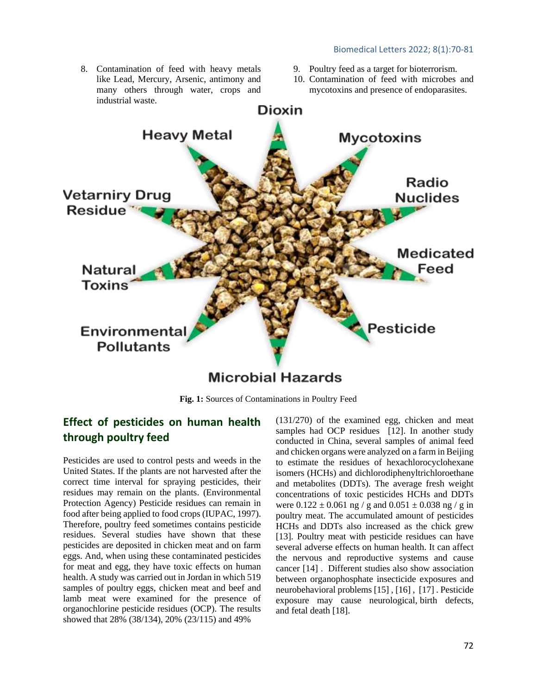#### Biomedical Letters 2022; 8(1):70-81



## **Microbial Hazards**

**Fig. 1:** Sources of Contaminations in Poultry Feed

### **Effect of pesticides on human health through poultry feed**

Pesticides are used to control pests and weeds in the United States. If the plants are not harvested after the correct time interval for spraying pesticides, their residues may remain on the plants. (Environmental Protection Agency) Pesticide residues can remain in food after being applied to food crops (IUPAC, 1997). Therefore, poultry feed sometimes contains pesticide residues. Several studies have shown that these pesticides are deposited in chicken meat and on farm eggs. And, when using these contaminated pesticides for meat and egg, they have toxic effects on human health. A study was carried out in Jordan in which 519 samples of poultry eggs, chicken meat and beef and lamb meat were examined for the presence of organochlorine pesticide residues (OCP). The results showed that 28% (38/134), 20% (23/115) and 49%

(131/270) of the examined egg, chicken and meat samples had OCP residues [\[12\]](#page-8-11). In another study conducted in China, several samples of animal feed and chicken organs were analyzed on a farm in Beijing to estimate the residues of hexachlorocyclohexane isomers (HCHs) and dichlorodiphenyltrichloroethane and metabolites (DDTs). The average fresh weight concentrations of toxic pesticides HCHs and DDTs were  $0.122 \pm 0.061$  ng / g and  $0.051 \pm 0.038$  ng / g in poultry meat. The accumulated amount of pesticides HCHs and DDTs also increased as the chick grew [\[13\]](#page-8-12). Poultry meat with pesticide residues can have several adverse effects on human health. It can affect the nervous and reproductive systems and cause cancer [\[14\]](#page-8-13) . Different studies also show association between organophosphate insecticide exposures and neurobehavioral problems [\[15\]](#page-9-0) , [\[16\]](#page-9-1) , [\[17\]](#page-9-2) . Pesticide exposure may cause neurological, [birth defects,](https://en.wikipedia.org/wiki/Birth_defects) and [fetal death](https://en.wikipedia.org/wiki/Fetal_death) [\[18\]](#page-9-3).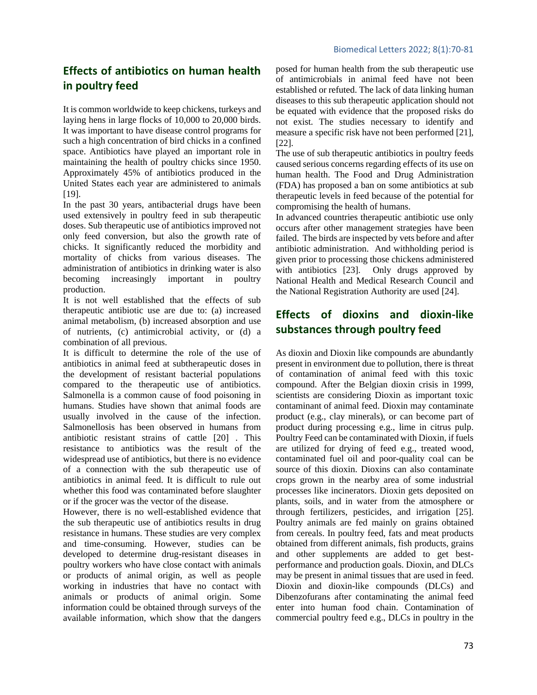### **Effects of antibiotics on human health in poultry feed**

It is common worldwide to keep chickens, turkeys and laying hens in large flocks of 10,000 to 20,000 birds. It was important to have disease control programs for such a high concentration of bird chicks in a confined space. Antibiotics have played an important role in maintaining the health of poultry chicks since 1950. Approximately 45% of antibiotics produced in the United States each year are administered to animals [\[19\]](#page-9-4).

In the past 30 years, antibacterial drugs have been used extensively in poultry feed in sub therapeutic doses. Sub therapeutic use of antibiotics improved not only feed conversion, but also the growth rate of chicks. It significantly reduced the morbidity and mortality of chicks from various diseases. The administration of antibiotics in drinking water is also becoming increasingly important in poultry production.

It is not well established that the effects of sub therapeutic antibiotic use are due to: (a) increased animal metabolism, (b) increased absorption and use of nutrients, (c) antimicrobial activity, or (d) a combination of all previous.

It is difficult to determine the role of the use of antibiotics in animal feed at subtherapeutic doses in the development of resistant bacterial populations compared to the therapeutic use of antibiotics. Salmonella is a common cause of food poisoning in humans. Studies have shown that animal foods are usually involved in the cause of the infection. Salmonellosis has been observed in humans from antibiotic resistant strains of cattle [\[20\]](#page-9-5) . This resistance to antibiotics was the result of the widespread use of antibiotics, but there is no evidence of a connection with the sub therapeutic use of antibiotics in animal feed. It is difficult to rule out whether this food was contaminated before slaughter or if the grocer was the vector of the disease.

However, there is no well-established evidence that the sub therapeutic use of antibiotics results in drug resistance in humans. These studies are very complex and time-consuming. However, studies can be developed to determine drug-resistant diseases in poultry workers who have close contact with animals or products of animal origin, as well as people working in industries that have no contact with animals or products of animal origin. Some information could be obtained through surveys of the available information, which show that the dangers

posed for human health from the sub therapeutic use of antimicrobials in animal feed have not been established or refuted. The lack of data linking human diseases to this sub therapeutic application should not be equated with evidence that the proposed risks do not exist. The studies necessary to identify and measure a specific risk have not been performed [\[21\]](#page-9-6), [\[22\]](#page-9-7).

The use of sub therapeutic antibiotics in poultry feeds caused serious concerns regarding effects of its use on human health. The Food and Drug Administration (FDA) has proposed a ban on some antibiotics at sub therapeutic levels in feed because of the potential for compromising the health of humans.

In advanced countries therapeutic antibiotic use only occurs after other management strategies have been failed. The birds are inspected by vets before and after antibiotic administration. And withholding period is given prior to processing those chickens administered with antibiotics [\[23\]](#page-9-8). Only drugs approved by National Health and Medical Research Council and the National Registration Authority are used [\[24\]](#page-9-9).

### **Effects of dioxins and dioxin-like substances through poultry feed**

As dioxin and Dioxin like compounds are abundantly present in environment due to pollution, there is threat of contamination of animal feed with this toxic compound. After the Belgian dioxin crisis in 1999, scientists are considering Dioxin as important toxic contaminant of animal feed. Dioxin may contaminate product (e.g., clay minerals), or can become part of product during processing e.g., lime in citrus pulp. Poultry Feed can be contaminated with Dioxin, if fuels are utilized for drying of feed e.g., treated wood, contaminated fuel oil and poor-quality coal can be source of this dioxin. Dioxins can also contaminate crops grown in the nearby area of some industrial processes like incinerators. Dioxin gets deposited on plants, soils, and in water from the atmosphere or through fertilizers, pesticides, and irrigation [\[25\]](#page-9-10). Poultry animals are fed mainly on grains obtained from cereals. In poultry feed, fats and meat products obtained from different animals, fish products, grains and other supplements are added to get bestperformance and production goals. Dioxin, and DLCs may be present in animal tissues that are used in feed. Dioxin and dioxin-like compounds (DLCs) and Dibenzofurans after contaminating the animal feed enter into human food chain. Contamination of commercial poultry feed e.g., DLCs in poultry in the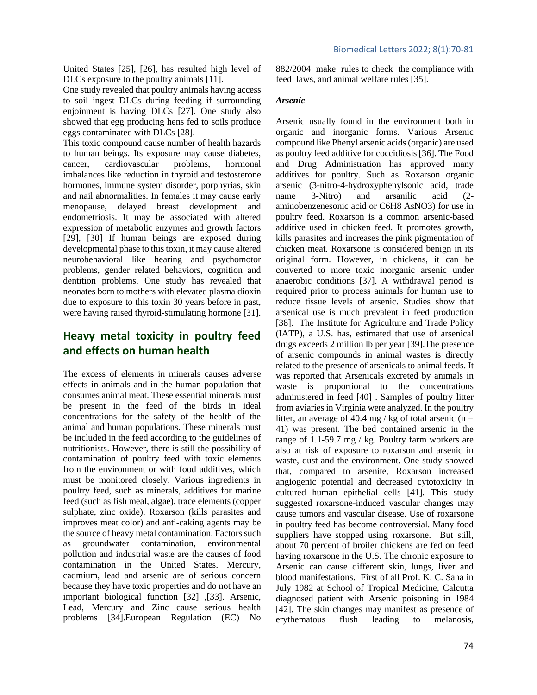United States [\[25\]](#page-9-10), [\[26\]](#page-9-11), has resulted high level of DLCs exposure to the poultry animals [\[11\]](#page-8-10).

One study revealed that poultry animals having access to soil ingest DLCs during feeding if surrounding enjoinment is having DLCs [\[27\]](#page-9-12). One study also showed that egg producing hens fed to soils produce eggs contaminated with DLCs [\[28\]](#page-9-13).

This toxic compound cause number of health hazards to human beings. Its exposure may cause diabetes, cancer, cardiovascular problems, hormonal imbalances like reduction in thyroid and testosterone hormones, immune system disorder, porphyrias, skin and nail abnormalities. In females it may cause early menopause, delayed breast development and endometriosis. It may be associated with altered expression of metabolic enzymes and growth factors [\[29\]](#page-9-14), [\[30\]](#page-9-15) If human beings are exposed during developmental phase to this toxin, it may cause altered neurobehavioral like hearing and psychomotor problems, gender related behaviors, cognition and dentition problems. One study has revealed that neonates born to mothers with elevated plasma dioxin due to exposure to this toxin 30 years before in past, were having raised thyroid-stimulating hormone [\[31\]](#page-9-16).

### **Heavy metal toxicity in poultry feed and effects on human health**

The excess of elements in minerals causes adverse effects in animals and in the human population that consumes animal meat. These essential minerals must be present in the feed of the birds in ideal concentrations for the safety of the health of the animal and human populations. These minerals must be included in the feed according to the guidelines of nutritionists. However, there is still the possibility of contamination of poultry feed with toxic elements from the environment or with food additives, which must be monitored closely. Various ingredients in poultry feed, such as minerals, additives for marine feed (such as fish meal, algae), trace elements (copper sulphate, zinc oxide), Roxarson (kills parasites and improves meat color) and anti-caking agents may be the source of heavy metal contamination. Factors such as groundwater contamination, environmental pollution and industrial waste are the causes of food contamination in the United States. Mercury, cadmium, lead and arsenic are of serious concern because they have toxic properties and do not have an important biological function [\[32\]](#page-9-17) ,[\[33\]](#page-9-18). Arsenic, Lead, Mercury and Zinc cause serious health problems [\[34\]](#page-9-19).European Regulation (EC) No 882/2004 make rules to check the compliance with feed laws, and animal welfare rules [\[35\]](#page-9-20).

#### *Arsenic*

Arsenic usually found in the environment both in organic and inorganic forms. Various Arsenic compound like Phenyl arsenic acids (organic) are used as poultry feed additive for coccidiosis [\[36\]](#page-9-21). The Food and Drug Administration has approved many additives for poultry. Such as Roxarson organic arsenic (3-nitro-4-hydroxyphenylsonic acid, trade name 3-Nitro) and arsanilic acid (2 aminobenzenesonic acid or C6H8 AsNO3) for use in poultry feed. Roxarson is a common arsenic-based additive used in chicken feed. It promotes growth, kills parasites and increases the pink pigmentation of chicken meat. Roxarsone is considered benign in its original form. However, in chickens, it can be converted to more toxic inorganic arsenic under anaerobic conditions [\[37\]](#page-9-22). A withdrawal period is required prior to process animals for human use to reduce tissue levels of arsenic. Studies show that arsenical use is much prevalent in feed production [\[38\]](#page-9-23). The Institute for Agriculture and Trade Policy (IATP), a U.S. has, estimated that use of arsenical drugs exceeds 2 million lb per year [\[39\]](#page-9-24).The presence of arsenic compounds in animal wastes is directly related to the presence of arsenicals to animal feeds. It was reported that Arsenicals excreted by animals in waste is proportional to the concentrations administered in feed [\[40\]](#page-9-25) . Samples of poultry litter from aviaries in Virginia were analyzed. In the poultry litter, an average of 40.4 mg / kg of total arsenic ( $n =$ 41) was present. The bed contained arsenic in the range of 1.1-59.7 mg / kg. Poultry farm workers are also at risk of exposure to roxarson and arsenic in waste, dust and the environment. One study showed that, compared to arsenite, Roxarson increased angiogenic potential and decreased cytotoxicity in cultured human epithelial cells [\[41\]](#page-9-26). This study suggested roxarsone-induced vascular changes may cause tumors and vascular disease. Use of roxarsone in poultry feed has become controversial. Many food suppliers have stopped using roxarsone. But still, about 70 percent of broiler chickens are fed on feed having roxarsone in the U.S. The chronic exposure to Arsenic can cause different skin, lungs, liver and blood manifestations. First of all Prof. K. C. Saha in July 1982 at School of Tropical Medicine, Calcutta diagnosed patient with Arsenic poisoning in 1984 [\[42\]](#page-9-27). The skin changes may manifest as presence of erythematous flush leading to melanosis,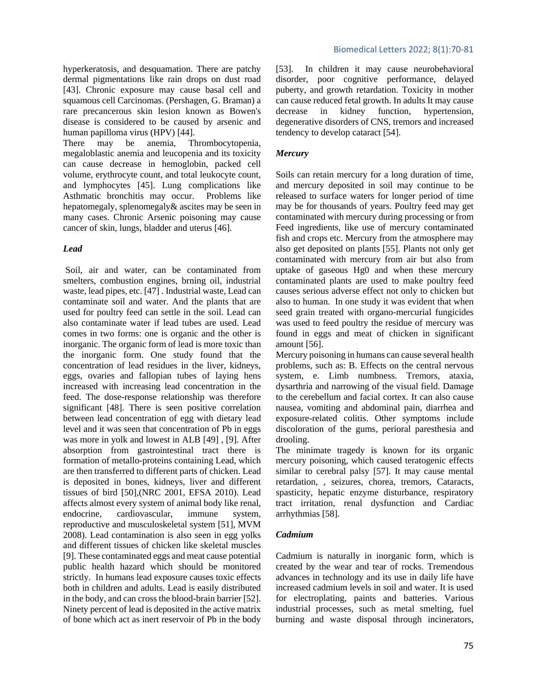hyperkeratosis, and desquamation. There are patchy dermal pigmentations like rain drops on dust road [\[43\]](#page-9-28). Chronic exposure may cause basal cell and squamous cell Carcinomas. (Pershagen, G. Braman) a rare precancerous skin lesion known as Bowen's disease is considered to be caused by arsenic and human papilloma virus (HPV) [\[44\]](#page-9-29).

There may be anemia, Thrombocytopenia, megaloblastic anemia and leucopenia and its toxicity can cause decrease in hemoglobin, packed cell volume, erythrocyte count, and total leukocyte count, and lymphocytes [\[45\]](#page-9-30). Lung complications like Asthmatic bronchitis may occur. Problems like hepatomegaly, splenomegaly& ascites may be seen in many cases. Chronic Arsenic poisoning may cause cancer of skin, lungs, bladder and uterus [\[46\]](#page-10-0).

#### *Lead*

Soil, air and water, can be contaminated from smelters, combustion engines, brning oil, industrial waste, lead pipes, etc. [\[47\]](#page-10-1) . Industrial waste, Lead can contaminate soil and water. And the plants that are used for poultry feed can settle in the soil. Lead can also contaminate water if lead tubes are used. Lead comes in two forms: one is organic and the other is inorganic. The organic form of lead is more toxic than the inorganic form. One study found that the concentration of lead residues in the liver, kidneys, eggs, ovaries and fallopian tubes of laying hens increased with increasing lead concentration in the feed. The dose-response relationship was therefore significant [\[48\]](#page-10-2). There is seen positive correlation between lead concentration of egg with dietary lead level and it was seen that concentration of Pb in eggs was more in yolk and lowest in ALB [\[49\]](#page-10-3) , [\[9\]](#page-8-8). After absorption from gastrointestinal tract there is formation of metallo-proteins containing Lead, which are then transferred to different parts of chicken. Lead is deposited in bones, kidneys, liver and different tissues of bird [\[50\]](#page-10-4),(NRC 2001, EFSA 2010). Lead affects almost every system of animal body like renal, endocrine, cardiovascular, immune system, reproductive and musculoskeletal system [\[51\]](#page-10-5), MVM 2008). Lead contamination is also seen in egg yolks and different tissues of chicken like skeletal muscles [\[9\]](#page-8-8). These contaminated eggs and meat cause potential public health hazard which should be monitored strictly. In humans lead exposure causes toxic effects both in children and adults. Lead is easily distributed in the body, and can cross the blood-brain barrier [\[52\]](#page-10-6). Ninety percent of lead is deposited in the active matrix of bone which act as inert reservoir of Pb in the body

[\[53\]](#page-10-7). In children it may cause neurobehavioral disorder, poor cognitive performance, delayed puberty, and growth retardation. Toxicity in mother can cause reduced fetal growth. In adults It may cause<br>decrease in kidney function, hypertension, decrease in kidney function, hypertension, degenerative disorders of CNS, tremors and increased tendency to develop cataract [\[54\]](#page-10-8).

### *Mercury*

Soils can retain mercury for a long duration of time, and mercury deposited in soil may continue to be released to surface waters for longer period of time may be for thousands of years. Poultry feed may get contaminated with mercury during processing or from Feed ingredients, like use of mercury contaminated fish and crops etc. Mercury from the atmosphere may also get deposited on plants [\[55\]](#page-10-9). Plants not only get contaminated with mercury from air but also from uptake of gaseous Hg0 and when these mercury contaminated plants are used to make poultry feed causes serious adverse effect not only to chicken but also to human. In one study it was evident that when seed grain treated with organo-mercurial fungicides was used to feed poultry the residue of mercury was found in eggs and meat of chicken in significant amount [\[56\]](#page-10-10).

Mercury poisoning in humans can cause several health problems, such as: B. Effects on the central nervous system, e. Limb numbness. Tremors, ataxia, dysarthria and narrowing of the visual field. Damage to the cerebellum and facial cortex. It can also cause nausea, vomiting and abdominal pain, diarrhea and exposure-related colitis. Other symptoms include discoloration of the gums, perioral paresthesia and drooling.

The minimate tragedy is known for its organic mercury poisoning, which caused teratogenic effects similar to cerebral palsy [\[57\]](#page-10-11). It may cause mental retardation, , seizures, chorea, tremors, Cataracts, spasticity, hepatic enzyme disturbance, respiratory tract irritation, renal dysfunction and Cardiac arrhythmias [\[58\]](#page-10-12).

### *Cadmium*

Cadmium is naturally in inorganic form, which is created by the wear and tear of rocks. Tremendous advances in technology and its use in daily life have increased cadmium levels in soil and water. It is used for electroplating, paints and batteries. Various industrial processes, such as metal smelting, fuel burning and waste disposal through incinerators,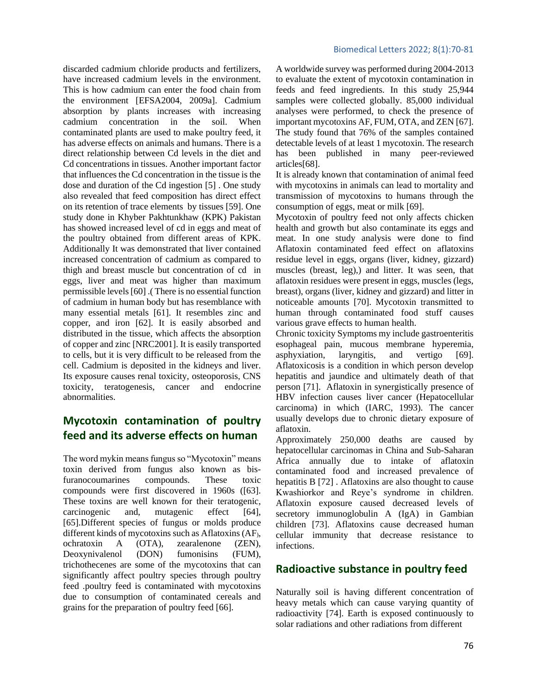discarded cadmium chloride products and fertilizers, have increased cadmium levels in the environment. This is how cadmium can enter the food chain from the environment [EFSA2004, 2009a]. Cadmium absorption by plants increases with increasing cadmium concentration in the soil. When contaminated plants are used to make poultry feed, it has adverse effects on animals and humans. There is a direct relationship between Cd levels in the diet and Cd concentrations in tissues. Another important factor that influences the Cd concentration in the tissue is the dose and duration of the Cd ingestion [\[5\]](#page-8-4) . One study also revealed that feed composition has direct effect on its retention of trace elements by tissues [\[59\]](#page-10-13). One study done in Khyber Pakhtunkhaw (KPK) Pakistan has showed increased level of cd in eggs and meat of the poultry obtained from different areas of KPK. Additionally It was demonstrated that liver contained increased concentration of cadmium as compared to thigh and breast muscle but concentration of cd in eggs, liver and meat was higher than maximum permissible levels [\[60\]](#page-10-14) .( There is no essential function of cadmium in human body but has resemblance with many essential metals [\[61\]](#page-10-15). It resembles zinc and copper, and iron [\[62\]](#page-10-16). It is easily absorbed and distributed in the tissue, which affects the absorption of copper and zinc [NRC2001]. It is easily transported to cells, but it is very difficult to be released from the cell. Cadmium is deposited in the kidneys and liver. Its exposure causes renal toxicity, osteoporosis, CNS toxicity, teratogenesis, cancer and endocrine abnormalities.

### **Mycotoxin contamination of poultry feed and its adverse effects on human**

The word mykin means fungus so "Mycotoxin" means toxin derived from fungus also known as bisfuranocoumarines compounds. These toxic compounds were first discovered in 1960s ([\[63\]](#page-10-17). These toxins are well known for their teratogenic, carcinogenic and, mutagenic effect [\[64\]](#page-10-18), [\[65\]](#page-10-19).Different species of fungus or molds produce different kinds of mycotoxins such as Aflatoxins (AF), ochratoxin A (OTA), zearalenone (ZEN), Deoxynivalenol (DON) fumonisins (FUM), trichothecenes are some of the mycotoxins that can significantly affect poultry species through poultry feed .poultry feed is contaminated with mycotoxins due to consumption of contaminated cereals and grains for the preparation of poultry feed [\[66\]](#page-10-20).

#### Biomedical Letters 2022; 8(1):70-81

A worldwide survey was performed during 2004-2013 to evaluate the extent of mycotoxin contamination in feeds and feed ingredients. In this study 25,944 samples were collected globally. 85,000 individual analyses were performed, to check the presence of important mycotoxins AF, FUM, OTA, and ZEN [\[67\]](#page-10-21). The study found that 76% of the samples contained detectable levels of at least 1 mycotoxin. The research has been published in many peer-reviewed articles[\[68\]](#page-10-22).

It is already known that contamination of animal feed with mycotoxins in animals can lead to mortality and transmission of mycotoxins to humans through the consumption of eggs, meat or milk [\[69\]](#page-10-23).

Mycotoxin of poultry feed not only affects chicken health and growth but also contaminate its eggs and meat. In one study analysis were done to find Aflatoxin contaminated feed effect on aflatoxins residue level in eggs, organs (liver, kidney, gizzard) muscles (breast, leg),) and litter. It was seen, that aflatoxin residues were present in eggs, muscles (legs, breast), organs (liver, kidney and gizzard) and litter in noticeable amounts [\[70\]](#page-10-24). Mycotoxin transmitted to human through contaminated food stuff causes various grave effects to human health.

Chronic toxicity Symptoms my include gastroenteritis esophageal pain, mucous membrane hyperemia, asphyxiation, laryngitis, and vertigo [\[69\]](#page-10-23). Aflatoxicosis is a condition in which person develop hepatitis and jaundice and ultimately death of that person [\[71\]](#page-10-25). Aflatoxin in synergistically presence of HBV infection causes liver cancer (Hepatocellular carcinoma) in which (IARC, 1993). The cancer usually develops due to chronic dietary exposure of aflatoxin.

Approximately 250,000 deaths are caused by hepatocellular carcinomas in China and Sub-Saharan Africa annually due to intake of aflatoxin contaminated food and increased prevalence of hepatitis B [\[72\]](#page-10-26). Aflatoxins are also thought to cause Kwashiorkor and Reye's syndrome in children. Aflatoxin exposure caused decreased levels of secretory immunoglobulin A (IgA) in Gambian children [\[73\]](#page-10-27). Aflatoxins cause decreased human cellular immunity that decrease resistance to infections.

### **Radioactive substance in poultry feed**

Naturally soil is having different concentration of heavy metals which can cause varying quantity of radioactivity [\[74\]](#page-10-28). Earth is exposed continuously to solar radiations and other radiations from different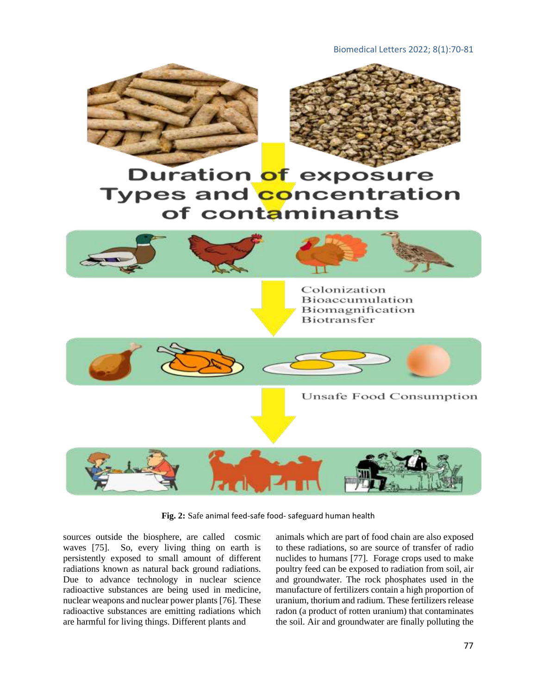Biomedical Letters 2022; 8(1):70-81



# **Duration of exposure** Types and concentration of contaminants



**Fig. 2:** Safe animal feed-safe food- safeguard human health

sources outside the biosphere, are called cosmic waves [\[75\]](#page-10-29). So, every living thing on earth is persistently exposed to small amount of different radiations known as natural back ground radiations. Due to advance technology in nuclear science radioactive substances are being used in medicine, nuclear weapons and nuclear power plants [\[76\]](#page-10-30). These radioactive substances are emitting radiations which are harmful for living things. Different plants and

animals which are part of food chain are also exposed to these radiations, so are source of transfer of radio nuclides to humans [\[77\]](#page-10-31). Forage crops used to make poultry feed can be exposed to radiation from soil, air and groundwater. The rock phosphates used in the manufacture of fertilizers contain a high proportion of uranium, thorium and radium. These fertilizers release radon (a product of rotten uranium) that contaminates the soil. Air and groundwater are finally polluting the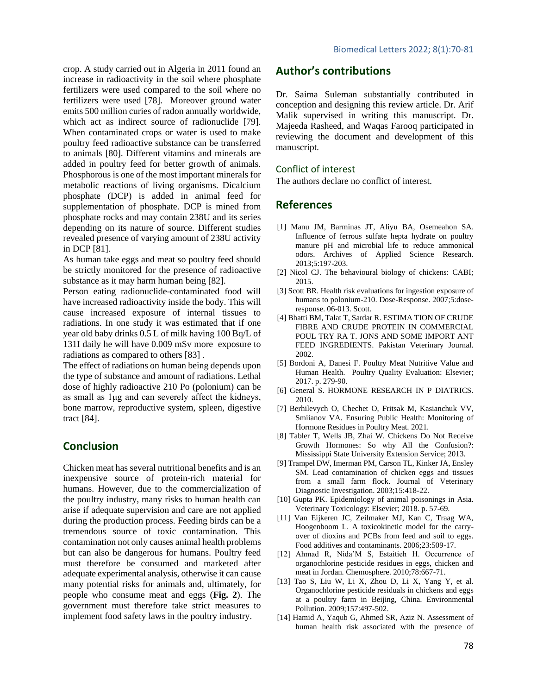crop. A study carried out in Algeria in 2011 found an increase in radioactivity in the soil where phosphate fertilizers were used compared to the soil where no fertilizers were used [\[78\]](#page-11-0). Moreover ground water emits 500 million curies of radon annually worldwide, which act as indirect source of radionuclide [\[79\]](#page-11-1). When contaminated crops or water is used to make poultry feed radioactive substance can be transferred to animals [\[80\]](#page-11-2). Different vitamins and minerals are added in poultry feed for better growth of animals. Phosphorous is one of the most important minerals for metabolic reactions of living organisms. Dicalcium phosphate (DCP) is added in animal feed for supplementation of phosphate. DCP is mined from phosphate rocks and may contain 238U and its series depending on its nature of source. Different studies revealed presence of varying amount of 238U activity in DCP [\[81\]](#page-11-3).

As human take eggs and meat so poultry feed should be strictly monitored for the presence of radioactive substance as it may harm human being [\[82\]](#page-11-4).

Person eating radionuclide-contaminated food will have increased radioactivity inside the body. This will cause increased exposure of internal tissues to radiations. In one study it was estimated that if one year old baby drinks 0.5 L of milk having 100 Bq/L of 131I daily he will have 0.009 mSv more exposure to radiations as compared to others [\[83\]](#page-11-5) .

The effect of radiations on human being depends upon the type of substance and amount of radiations. Lethal dose of highly radioactive 210 Po (polonium) can be as small as 1μg and can severely affect the kidneys, bone marrow, reproductive system, spleen, digestive tract [\[84\]](#page-11-6).

### **Conclusion**

Chicken meat has several nutritional benefits and is an inexpensive source of protein-rich material for humans. However, due to the commercialization of the poultry industry, many risks to human health can arise if adequate supervision and care are not applied during the production process. Feeding birds can be a tremendous source of toxic contamination. This contamination not only causes animal health problems but can also be dangerous for humans. Poultry feed must therefore be consumed and marketed after adequate experimental analysis, otherwise it can cause many potential risks for animals and, ultimately, for people who consume meat and eggs (**Fig. 2**). The government must therefore take strict measures to implement food safety laws in the poultry industry.

### **Author's contributions**

Dr. Saima Suleman substantially contributed in conception and designing this review article. Dr. Arif Malik supervised in writing this manuscript. Dr. Majeeda Rasheed, and Waqas Farooq participated in reviewing the document and development of this manuscript.

#### Conflict of interest

The authors declare no conflict of interest.

### **References**

- <span id="page-8-0"></span>[1] Manu JM, Barminas JT, Aliyu BA, Osemeahon SA. Influence of ferrous sulfate hepta hydrate on poultry manure pH and microbial life to reduce ammonical odors. Archives of Applied Science Research. 2013;5:197-203.
- <span id="page-8-1"></span>[2] Nicol CJ. The behavioural biology of chickens: CABI; 2015.
- <span id="page-8-2"></span>[3] Scott BR. Health risk evaluations for ingestion exposure of humans to polonium-210. Dose-Response. 2007;5:doseresponse. 06-013. Scott.
- <span id="page-8-3"></span>[4] Bhatti BM, Talat T, Sardar R. ESTIMA TION OF CRUDE FIBRE AND CRUDE PROTEIN IN COMMERCIAL POUL TRY RA T. JONS AND SOME IMPORT ANT FEED INGREDIENTS. Pakistan Veterinary Journal. 2002.
- <span id="page-8-4"></span>[5] Bordoni A, Danesi F. Poultry Meat Nutritive Value and Human Health. Poultry Quality Evaluation: Elsevier; 2017. p. 279-90.
- <span id="page-8-5"></span>[6] General S. HORMONE RESEARCH IN P DIATRICS. 2010.
- <span id="page-8-6"></span>[7] Berhilevych O, Chechet O, Fritsak M, Kasianchuk VV, Smiianov VA. Ensuring Public Health: Monitoring of Hormone Residues in Poultry Meat. 2021.
- <span id="page-8-7"></span>[8] Tabler T, Wells JB, Zhai W. Chickens Do Not Receive Growth Hormones: So why All the Confusion?: Mississippi State University Extension Service; 2013.
- <span id="page-8-8"></span>[9] Trampel DW, Imerman PM, Carson TL, Kinker JA, Ensley SM. Lead contamination of chicken eggs and tissues from a small farm flock. Journal of Veterinary Diagnostic Investigation. 2003;15:418-22.
- <span id="page-8-9"></span>[10] Gupta PK. Epidemiology of animal poisonings in Asia. Veterinary Toxicology: Elsevier; 2018. p. 57-69.
- <span id="page-8-10"></span>[11] Van Eijkeren JC, Zeilmaker MJ, Kan C, Traag WA, Hoogenboom L. A toxicokinetic model for the carryover of dioxins and PCBs from feed and soil to eggs. Food additives and contaminants. 2006;23:509-17.
- <span id="page-8-11"></span>[12] Ahmad R, Nida'M S, Estaitieh H. Occurrence of organochlorine pesticide residues in eggs, chicken and meat in Jordan. Chemosphere. 2010;78:667-71.
- <span id="page-8-12"></span>[13] Tao S, Liu W, Li X, Zhou D, Li X, Yang Y, et al. Organochlorine pesticide residuals in chickens and eggs at a poultry farm in Beijing, China. Environmental Pollution. 2009;157:497-502.
- <span id="page-8-13"></span>[14] Hamid A, Yaqub G, Ahmed SR, Aziz N. Assessment of human health risk associated with the presence of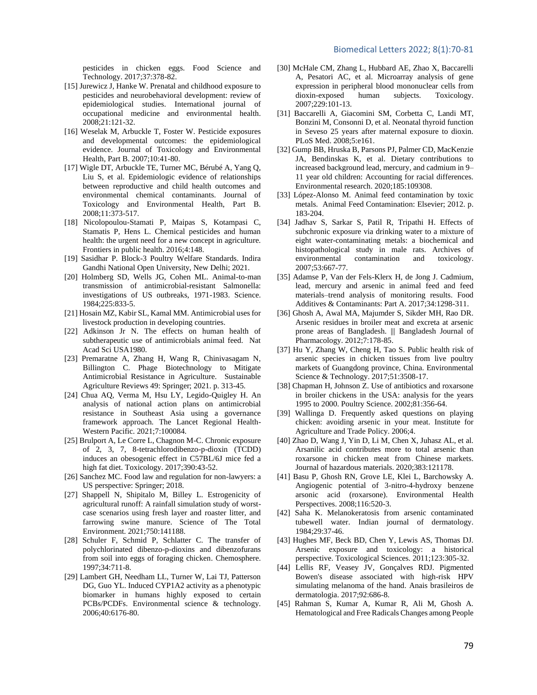#### Biomedical Letters 2022; 8(1):70-81

pesticides in chicken eggs. Food Science and Technology. 2017;37:378-82.

- <span id="page-9-0"></span>[15] Jurewicz J, Hanke W. Prenatal and childhood exposure to pesticides and neurobehavioral development: review of epidemiological studies. International journal of occupational medicine and environmental health. 2008;21:121-32.
- <span id="page-9-1"></span>[16] Weselak M, Arbuckle T, Foster W. Pesticide exposures and developmental outcomes: the epidemiological evidence. Journal of Toxicology and Environmental Health, Part B. 2007;10:41-80.
- <span id="page-9-2"></span>[17] Wigle DT, Arbuckle TE, Turner MC, Bérubé A, Yang Q, Liu S, et al. Epidemiologic evidence of relationships between reproductive and child health outcomes and environmental chemical contaminants. Journal of Toxicology and Environmental Health, Part B. 2008;11:373-517.
- <span id="page-9-3"></span>[18] Nicolopoulou-Stamati P, Maipas S, Kotampasi C, Stamatis P, Hens L. Chemical pesticides and human health: the urgent need for a new concept in agriculture. Frontiers in public health. 2016;4:148.
- <span id="page-9-4"></span>[19] Sasidhar P. Block-3 Poultry Welfare Standards. Indira Gandhi National Open University, New Delhi; 2021.
- <span id="page-9-5"></span>[20] Holmberg SD, Wells JG, Cohen ML. Animal-to-man transmission of antimicrobial-resistant Salmonella: investigations of US outbreaks, 1971-1983. Science. 1984;225:833-5.
- <span id="page-9-6"></span>[21] Hosain MZ, Kabir SL, Kamal MM. Antimicrobial uses for livestock production in developing countries.
- <span id="page-9-7"></span>[22] Adkinson Jr N. The effects on human health of subtherapeutic use of antimicrobials animal feed. Nat Acad Sci USA1980.
- <span id="page-9-8"></span>[23] Premaratne A, Zhang H, Wang R, Chinivasagam N, Billington C. Phage Biotechnology to Mitigate Antimicrobial Resistance in Agriculture. Sustainable Agriculture Reviews 49: Springer; 2021. p. 313-45.
- <span id="page-9-9"></span>[24] Chua AQ, Verma M, Hsu LY, Legido-Quigley H. An analysis of national action plans on antimicrobial resistance in Southeast Asia using a governance framework approach. The Lancet Regional Health-Western Pacific. 2021;7:100084.
- <span id="page-9-10"></span>[25] Brulport A, Le Corre L, Chagnon M-C. Chronic exposure of 2, 3, 7, 8-tetrachlorodibenzo-p-dioxin (TCDD) induces an obesogenic effect in C57BL/6J mice fed a high fat diet. Toxicology. 2017;390:43-52.
- <span id="page-9-11"></span>[26] Sanchez MC. Food law and regulation for non-lawyers: a US perspective: Springer; 2018.
- <span id="page-9-12"></span>[27] Shappell N, Shipitalo M, Billey L. Estrogenicity of agricultural runoff: A rainfall simulation study of worstcase scenarios using fresh layer and roaster litter, and farrowing swine manure. Science of The Total Environment. 2021;750:141188.
- <span id="page-9-13"></span>[28] Schuler F, Schmid P, Schlatter C. The transfer of polychlorinated dibenzo-p-dioxins and dibenzofurans from soil into eggs of foraging chicken. Chemosphere. 1997;34:711-8.
- <span id="page-9-14"></span>[29] Lambert GH, Needham LL, Turner W, Lai TJ, Patterson DG, Guo YL. Induced CYP1A2 activity as a phenotypic biomarker in humans highly exposed to certain PCBs/PCDFs. Environmental science & technology. 2006;40:6176-80.
- <span id="page-9-15"></span>[30] McHale CM, Zhang L, Hubbard AE, Zhao X, Baccarelli A, Pesatori AC, et al. Microarray analysis of gene expression in peripheral blood mononuclear cells from dioxin-exposed human subjects. Toxicology. 2007;229:101-13.
- <span id="page-9-16"></span>[31] Baccarelli A, Giacomini SM, Corbetta C, Landi MT, Bonzini M, Consonni D, et al. Neonatal thyroid function in Seveso 25 years after maternal exposure to dioxin. PLoS Med. 2008;5:e161.
- <span id="page-9-17"></span>[32] Gump BB, Hruska B, Parsons PJ, Palmer CD, MacKenzie JA, Bendinskas K, et al. Dietary contributions to increased background lead, mercury, and cadmium in 9– 11 year old children: Accounting for racial differences. Environmental research. 2020;185:109308.
- <span id="page-9-18"></span>[33] López-Alonso M. Animal feed contamination by toxic metals. Animal Feed Contamination: Elsevier; 2012. p. 183-204.
- <span id="page-9-19"></span>[34] Jadhav S, Sarkar S, Patil R, Tripathi H. Effects of subchronic exposure via drinking water to a mixture of eight water-contaminating metals: a biochemical and histopathological study in male rats. Archives of environmental contamination and toxicology. 2007;53:667-77.
- <span id="page-9-20"></span>[35] Adamse P, Van der Fels-Klerx H, de Jong J. Cadmium, lead, mercury and arsenic in animal feed and feed materials–trend analysis of monitoring results. Food Additives & Contaminants: Part A. 2017;34:1298-311.
- <span id="page-9-21"></span>[36] Ghosh A, Awal MA, Majumder S, Sikder MH, Rao DR. Arsenic residues in broiler meat and excreta at arsenic prone areas of Bangladesh. ||| Bangladesh Journal of Pharmacology. 2012;7:178-85.
- <span id="page-9-22"></span>[37] Hu Y, Zhang W, Cheng H, Tao S. Public health risk of arsenic species in chicken tissues from live poultry markets of Guangdong province, China. Environmental Science & Technology. 2017;51:3508-17.
- <span id="page-9-23"></span>[38] Chapman H, Johnson Z. Use of antibiotics and roxarsone in broiler chickens in the USA: analysis for the years 1995 to 2000. Poultry Science. 2002;81:356-64.
- <span id="page-9-24"></span>[39] Wallinga D. Frequently asked questions on playing chicken: avoiding arsenic in your meat. Institute for Agriculture and Trade Policy. 2006;4.
- <span id="page-9-25"></span>[40] Zhao D, Wang J, Yin D, Li M, Chen X, Juhasz AL, et al. Arsanilic acid contributes more to total arsenic than roxarsone in chicken meat from Chinese markets. Journal of hazardous materials. 2020;383:121178.
- <span id="page-9-26"></span>[41] Basu P, Ghosh RN, Grove LE, Klei L, Barchowsky A. Angiogenic potential of 3-nitro-4-hydroxy benzene arsonic acid (roxarsone). Environmental Health Perspectives. 2008;116:520-3.
- <span id="page-9-27"></span>[42] Saha K. Melanokeratosis from arsenic contaminated tubewell water. Indian journal of dermatology. 1984;29:37-46.
- <span id="page-9-28"></span>[43] Hughes MF, Beck BD, Chen Y, Lewis AS, Thomas DJ. Arsenic exposure and toxicology: a historical perspective. Toxicological Sciences. 2011;123:305-32.
- <span id="page-9-29"></span>[44] Lellis RF, Veasey JV, Gonçalves RDJ. Pigmented Bowen's disease associated with high-risk HPV simulating melanoma of the hand. Anais brasileiros de dermatologia. 2017;92:686-8.
- <span id="page-9-30"></span>[45] Rahman S, Kumar A, Kumar R, Ali M, Ghosh A. Hematological and Free Radicals Changes among People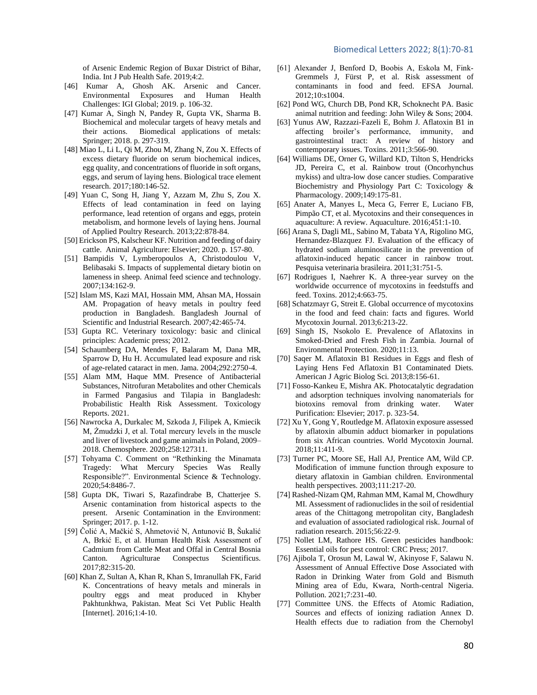of Arsenic Endemic Region of Buxar District of Bihar, India. Int J Pub Health Safe. 2019;4:2.

- <span id="page-10-0"></span>[46] Kumar A, Ghosh AK. Arsenic and Cancer. Environmental Exposures and Human Health Challenges: IGI Global; 2019. p. 106-32.
- <span id="page-10-1"></span>[47] Kumar A, Singh N, Pandey R, Gupta VK, Sharma B. Biochemical and molecular targets of heavy metals and their actions. Biomedical applications of metals: Springer; 2018. p. 297-319.
- <span id="page-10-2"></span>[48] Miao L, Li L, Qi M, Zhou M, Zhang N, Zou X. Effects of excess dietary fluoride on serum biochemical indices, egg quality, and concentrations of fluoride in soft organs, eggs, and serum of laying hens. Biological trace element research. 2017;180:146-52.
- <span id="page-10-3"></span>[49] Yuan C, Song H, Jiang Y, Azzam M, Zhu S, Zou X. Effects of lead contamination in feed on laying performance, lead retention of organs and eggs, protein metabolism, and hormone levels of laying hens. Journal of Applied Poultry Research. 2013;22:878-84.
- <span id="page-10-4"></span>[50] Erickson PS, Kalscheur KF. Nutrition and feeding of dairy cattle. Animal Agriculture: Elsevier; 2020. p. 157-80.
- <span id="page-10-5"></span>[51] Bampidis V, Lymberopoulos A, Christodoulou V, Belibasaki S. Impacts of supplemental dietary biotin on lameness in sheep. Animal feed science and technology. 2007;134:162-9.
- <span id="page-10-6"></span>[52] Islam MS, Kazi MAI, Hossain MM, Ahsan MA, Hossain AM. Propagation of heavy metals in poultry feed production in Bangladesh. Bangladesh Journal of Scientific and Industrial Research. 2007;42:465-74.
- <span id="page-10-7"></span>[53] Gupta RC. Veterinary toxicology: basic and clinical principles: Academic press; 2012.
- <span id="page-10-8"></span>[54] Schaumberg DA, Mendes F, Balaram M, Dana MR, Sparrow D, Hu H. Accumulated lead exposure and risk of age-related cataract in men. Jama. 2004;292:2750-4.
- <span id="page-10-9"></span>[55] Alam MM, Haque MM. Presence of Antibacterial Substances, Nitrofuran Metabolites and other Chemicals in Farmed Pangasius and Tilapia in Bangladesh: Probabilistic Health Risk Assessment. Toxicology Reports. 2021.
- <span id="page-10-10"></span>[56] Nawrocka A, Durkalec M, Szkoda J, Filipek A, Kmiecik M, Żmudzki J, et al. Total mercury levels in the muscle and liver of livestock and game animals in Poland, 2009– 2018. Chemosphere. 2020;258:127311.
- <span id="page-10-11"></span>[57] Tohyama C. Comment on "Rethinking the Minamata Tragedy: What Mercury Species Was Really Responsible?". Environmental Science & Technology. 2020;54:8486-7.
- <span id="page-10-12"></span>[58] Gupta DK, Tiwari S, Razafindrabe B, Chatterjee S. Arsenic contamination from historical aspects to the present. Arsenic Contamination in the Environment: Springer; 2017. p. 1-12.
- <span id="page-10-13"></span>[59] Čolić A, Mačkić S, Ahmetović N, Antunović B, Šukalić A, Brkić E, et al. Human Health Risk Assessment of Cadmium from Cattle Meat and Offal in Central Bosnia Canton. Agriculturae Conspectus Scientificus. 2017;82:315-20.
- <span id="page-10-14"></span>[60] Khan Z, Sultan A, Khan R, Khan S, Imranullah FK, Farid K. Concentrations of heavy metals and minerals in poultry eggs and meat produced in Khyber Pakhtunkhwa, Pakistan. Meat Sci Vet Public Health [Internet]. 2016;1:4-10.
- <span id="page-10-15"></span>[61] Alexander J, Benford D, Boobis A, Eskola M, Fink‐ Gremmels J, Fürst P, et al. Risk assessment of contaminants in food and feed. EFSA Journal. 2012;10:s1004.
- <span id="page-10-16"></span>[62] Pond WG, Church DB, Pond KR, Schoknecht PA. Basic animal nutrition and feeding: John Wiley & Sons; 2004.
- <span id="page-10-17"></span>[63] Yunus AW, Razzazi-Fazeli E, Bohm J. Aflatoxin B1 in affecting broiler's performance, immunity, and gastrointestinal tract: A review of history and contemporary issues. Toxins. 2011;3:566-90.
- <span id="page-10-18"></span>[64] Williams DE, Orner G, Willard KD, Tilton S, Hendricks JD, Pereira C, et al. Rainbow trout (Oncorhynchus mykiss) and ultra-low dose cancer studies. Comparative Biochemistry and Physiology Part C: Toxicology & Pharmacology. 2009;149:175-81.
- <span id="page-10-19"></span>[65] Anater A, Manyes L, Meca G, Ferrer E, Luciano FB, Pimpão CT, et al. Mycotoxins and their consequences in aquaculture: A review. Aquaculture. 2016;451:1-10.
- <span id="page-10-20"></span>[66] Arana S, Dagli ML, Sabino M, Tabata YA, Rigolino MG, Hernandez-Blazquez FJ. Evaluation of the efficacy of hydrated sodium aluminosilicate in the prevention of aflatoxin-induced hepatic cancer in rainbow trout. Pesquisa veterinaria brasileira. 2011;31:751-5.
- <span id="page-10-21"></span>[67] Rodrigues I, Naehrer K. A three-year survey on the worldwide occurrence of mycotoxins in feedstuffs and feed. Toxins. 2012;4:663-75.
- <span id="page-10-22"></span>[68] Schatzmayr G, Streit E. Global occurrence of mycotoxins in the food and feed chain: facts and figures. World Mycotoxin Journal. 2013;6:213-22.
- <span id="page-10-23"></span>[69] Singh IS, Nsokolo E. Prevalence of Aflatoxins in Smoked-Dried and Fresh Fish in Zambia. Journal of Environmental Protection. 2020;11:13.
- <span id="page-10-24"></span>[70] Saqer M. Aflatoxin B1 Residues in Eggs and flesh of Laying Hens Fed Aflatoxin B1 Contaminated Diets. American J Agric Biolog Sci. 2013;8:156-61.
- <span id="page-10-25"></span>[71] Fosso-Kankeu E, Mishra AK. Photocatalytic degradation and adsorption techniques involving nanomaterials for biotoxins removal from drinking water. Water Purification: Elsevier; 2017. p. 323-54.
- <span id="page-10-26"></span>[72] Xu Y, Gong Y, Routledge M. Aflatoxin exposure assessed by aflatoxin albumin adduct biomarker in populations from six African countries. World Mycotoxin Journal. 2018;11:411-9.
- <span id="page-10-27"></span>[73] Turner PC, Moore SE, Hall AJ, Prentice AM, Wild CP. Modification of immune function through exposure to dietary aflatoxin in Gambian children. Environmental health perspectives. 2003;111:217-20.
- <span id="page-10-28"></span>[74] Rashed-Nizam QM, Rahman MM, Kamal M, Chowdhury MI. Assessment of radionuclides in the soil of residential areas of the Chittagong metropolitan city, Bangladesh and evaluation of associated radiological risk. Journal of radiation research. 2015;56:22-9.
- <span id="page-10-29"></span>[75] Nollet LM, Rathore HS. Green pesticides handbook: Essential oils for pest control: CRC Press; 2017.
- <span id="page-10-30"></span>[76] Ajibola T, Orosun M, Lawal W, Akinyose F, Salawu N. Assessment of Annual Effective Dose Associated with Radon in Drinking Water from Gold and Bismuth Mining area of Edu, Kwara, North-central Nigeria. Pollution. 2021;7:231-40.
- <span id="page-10-31"></span>[77] Committee UNS. the Effects of Atomic Radiation, Sources and effects of ionizing radiation Annex D. Health effects due to radiation from the Chernobyl